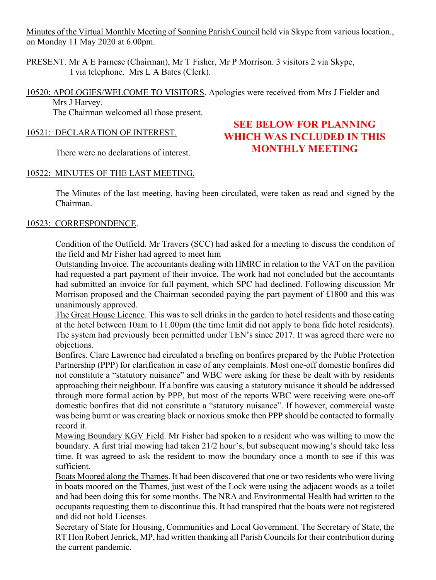Minutes of the Virtual Monthly Meeting of Sonning Parish Council held via Skype from various location., on Monday 11 May 2020 at 6.00pm.

PRESENT. Mr A E Farnese (Chairman), Mr T Fisher, Mr P Morrison. 3 visitors 2 via Skype, I via telephone. Mrs L A Bates (Clerk).

10520: APOLOGIES/WELCOME TO VISITORS. Apologies were received from Mrs J Fielder and Mrs J Harvey.

The Chairman welcomed all those present.

# 10521: DECLARATION OF INTEREST.

There were no declarations of interest.

# **SEE BELOW FOR PLANNING WHICH WAS INCLUDED IN THIS MONTHLY MEETING**

# 10522: MINUTES OF THE LAST MEETING.

The Minutes of the last meeting, having been circulated, were taken as read and signed by the Chairman.

# 10523: CORRESPONDENCE.

Condition of the Outfield. Mr Travers (SCC) had asked for a meeting to discuss the condition of the field and Mr Fisher had agreed to meet him

Outstanding Invoice. The accountants dealing with HMRC in relation to the VAT on the pavilion had requested a part payment of their invoice. The work had not concluded but the accountants had submitted an invoice for full payment, which SPC had declined. Following discussion Mr Morrison proposed and the Chairman seconded paying the part payment of £1800 and this was unanimously approved.

The Great House Licence. This was to sell drinks in the garden to hotel residents and those eating at the hotel between 10am to 11.00pm (the time limit did not apply to bona fide hotel residents). The system had previously been permitted under TEN's since 2017. It was agreed there were no objections.

Bonfires. Clare Lawrence had circulated a briefing on bonfires prepared by the Public Protection Partnership (PPP) for clarification in case of any complaints. Most one-off domestic bonfires did not constitute a "statutory nuisance" and WBC were asking for these be dealt with by residents approaching their neighbour. If a bonfire was causing a statutory nuisance it should be addressed through more formal action by PPP, but most of the reports WBC were receiving were one-off domestic bonfires that did not constitute a "statutory nuisance". If however, commercial waste was being burnt or was creating black or noxious smoke then PPP should be contacted to formally record it.

Mowing Boundary KGV Field. Mr Fisher had spoken to a resident who was willing to mow the boundary. A first trial mowing had taken 21/2 hour's, but subsequent mowing's should take less time. It was agreed to ask the resident to mow the boundary once a month to see if this was sufficient.

Boats Moored along the Thames. It had been discovered that one or two residents who were living in boats moored on the Thames, just west of the Lock were using the adjacent woods as a toilet and had been doing this for some months. The NRA and Environmental Health had written to the occupants requesting them to discontinue this. It had transpired that the boats were not registered and did not hold Licenses.

Secretary of State for Housing, Communities and Local Government. The Secretary of State, the RT Hon Robert Jenrick, MP, had written thanking all Parish Councils for their contribution during the current pandemic.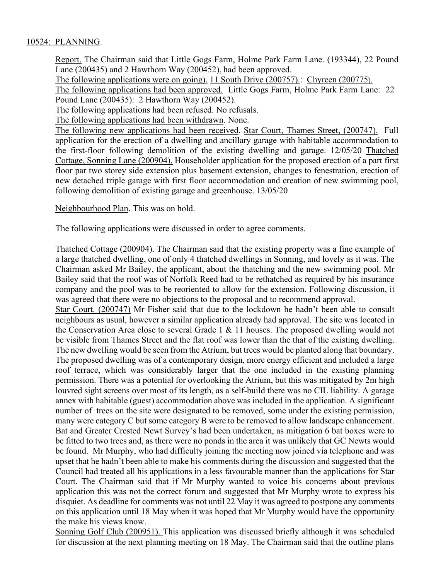### 10524: PLANNING.

Report. The Chairman said that Little Gogs Farm, Holme Park Farm Lane. (193344), 22 Pound Lane (200435) and 2 Hawthorn Way (200452), had been approved.

The following applications were on going). 11 South Drive (200757).: Chyreen (200775).

The following applications had been approved. Little Gogs Farm, Holme Park Farm Lane: 22 Pound Lane (200435): 2 Hawthorn Way (200452).

The following applications had been refused. No refusals.

The following applications had been withdrawn. None.

The following new applications had been received. Star Court, Thames Street, (200747). Full application for the erection of a dwelling and ancillary garage with habitable accommodation to the first-floor following demolition of the existing dwelling and garage. 12/05/20 Thatched Cottage, Sonning Lane (200904). Householder application for the proposed erection of a part first floor par two storey side extension plus basement extension, changes to fenestration, erection of new detached triple garage with first floor accommodation and creation of new swimming pool, following demolition of existing garage and greenhouse. 13/05/20

Neighbourhood Plan. This was on hold.

The following applications were discussed in order to agree comments.

Thatched Cottage (200904). The Chairman said that the existing property was a fine example of a large thatched dwelling, one of only 4 thatched dwellings in Sonning, and lovely as it was. The Chairman asked Mr Bailey, the applicant, about the thatching and the new swimming pool. Mr Bailey said that the roof was of Norfolk Reed had to be rethatched as required by his insurance company and the pool was to be reoriented to allow for the extension. Following discussion, it was agreed that there were no objections to the proposal and to recommend approval.

Star Court. (200747) Mr Fisher said that due to the lockdown he hadn't been able to consult neighbours as usual, however a similar application already had approval. The site was located in the Conservation Area close to several Grade 1 & 11 houses. The proposed dwelling would not be visible from Thames Street and the flat roof was lower than the that of the existing dwelling. The new dwelling would be seen from the Atrium, but trees would be planted along that boundary. The proposed dwelling was of a contemporary design, more energy efficient and included a large roof terrace, which was considerably larger that the one included in the existing planning permission. There was a potential for overlooking the Atrium, but this was mitigated by 2m high louvred sight screens over most of its length, as a self-build there was no CIL liability. A garage annex with habitable (guest) accommodation above was included in the application. A significant number of trees on the site were designated to be removed, some under the existing permission, many were category C but some category B were to be removed to allow landscape enhancement. Bat and Greater Crested Newt Survey's had been undertaken, as mitigation 6 bat boxes were to be fitted to two trees and, as there were no ponds in the area it was unlikely that GC Newts would be found. Mr Murphy, who had difficulty joining the meeting now joined via telephone and was upset that he hadn't been able to make his comments during the discussion and suggested that the Council had treated all his applications in a less favourable manner than the applications for Star Court. The Chairman said that if Mr Murphy wanted to voice his concerns about previous application this was not the correct forum and suggested that Mr Murphy wrote to express his disquiet. As deadline for comments was not until 22 May it was agreed to postpone any comments on this application until 18 May when it was hoped that Mr Murphy would have the opportunity the make his views know.

Sonning Golf Club (200951). This application was discussed briefly although it was scheduled for discussion at the next planning meeting on 18 May. The Chairman said that the outline plans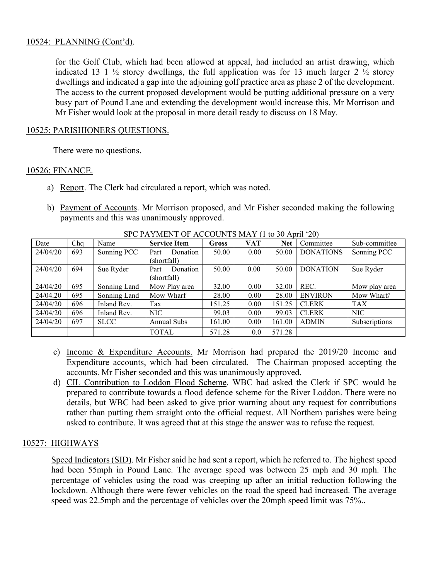### 10524: PLANNING (Cont'd).

for the Golf Club, which had been allowed at appeal, had included an artist drawing, which indicated 13 1  $\frac{1}{2}$  storey dwellings, the full application was for 13 much larger 2  $\frac{1}{2}$  storey dwellings and indicated a gap into the adjoining golf practice area as phase 2 of the development. The access to the current proposed development would be putting additional pressure on a very busy part of Pound Lane and extending the development would increase this. Mr Morrison and Mr Fisher would look at the proposal in more detail ready to discuss on 18 May.

#### 10525: PARISHIONERS QUESTIONS.

There were no questions.

### 10526: FINANCE.

- a) Report. The Clerk had circulated a report, which was noted.
- b) Payment of Accounts. Mr Morrison proposed, and Mr Fisher seconded making the following payments and this was unanimously approved.

| Date     | Chq | Name         | <b>Service Item</b> | Gross  | <b>VAT</b> | <b>Net</b> | Committee        | Sub-committee |
|----------|-----|--------------|---------------------|--------|------------|------------|------------------|---------------|
| 24/04/20 | 693 | Sonning PCC  | Donation<br>Part    | 50.00  | 0.00       | 50.00      | <b>DONATIONS</b> | Sonning PCC   |
|          |     |              | (shortfall)         |        |            |            |                  |               |
| 24/04/20 | 694 | Sue Ryder    | Donation<br>Part    | 50.00  | 0.00       | 50.00      | <b>DONATION</b>  | Sue Ryder     |
|          |     |              | (shortfall)         |        |            |            |                  |               |
| 24/04/20 | 695 | Sonning Land | Mow Play area       | 32.00  | 0.00       | 32.00      | REC.             | Mow play area |
| 24/04.20 | 695 | Sonning Land | Mow Wharf           | 28.00  | 0.00       | 28.00      | <b>ENVIRON</b>   | Mow Wharf/    |
| 24/04/20 | 696 | Inland Rev.  | Tax                 | 151.25 | 0.00       | 151.25     | <b>CLERK</b>     | <b>TAX</b>    |
| 24/04/20 | 696 | Inland Rev.  | NIC                 | 99.03  | 0.00       | 99.03      | <b>CLERK</b>     | NIC           |
| 24/04/20 | 697 | <b>SLCC</b>  | <b>Annual Subs</b>  | 161.00 | 0.00       | 161.00     | <b>ADMIN</b>     | Subscriptions |
|          |     |              | <b>TOTAL</b>        | 571.28 | 0.0        | 571.28     |                  |               |

SPC PAYMENT OF ACCOUNTS MAY (1 to 30 April '20)

- c) Income & Expenditure Accounts. Mr Morrison had prepared the 2019/20 Income and Expenditure accounts, which had been circulated. The Chairman proposed accepting the accounts. Mr Fisher seconded and this was unanimously approved.
- d) CIL Contribution to Loddon Flood Scheme. WBC had asked the Clerk if SPC would be prepared to contribute towards a flood defence scheme for the River Loddon. There were no details, but WBC had been asked to give prior warning about any request for contributions rather than putting them straight onto the official request. All Northern parishes were being asked to contribute. It was agreed that at this stage the answer was to refuse the request.

# 10527: HIGHWAYS

Speed Indicators (SID). Mr Fisher said he had sent a report, which he referred to. The highest speed had been 55mph in Pound Lane. The average speed was between 25 mph and 30 mph. The percentage of vehicles using the road was creeping up after an initial reduction following the lockdown. Although there were fewer vehicles on the road the speed had increased. The average speed was 22.5mph and the percentage of vehicles over the 20mph speed limit was 75%..